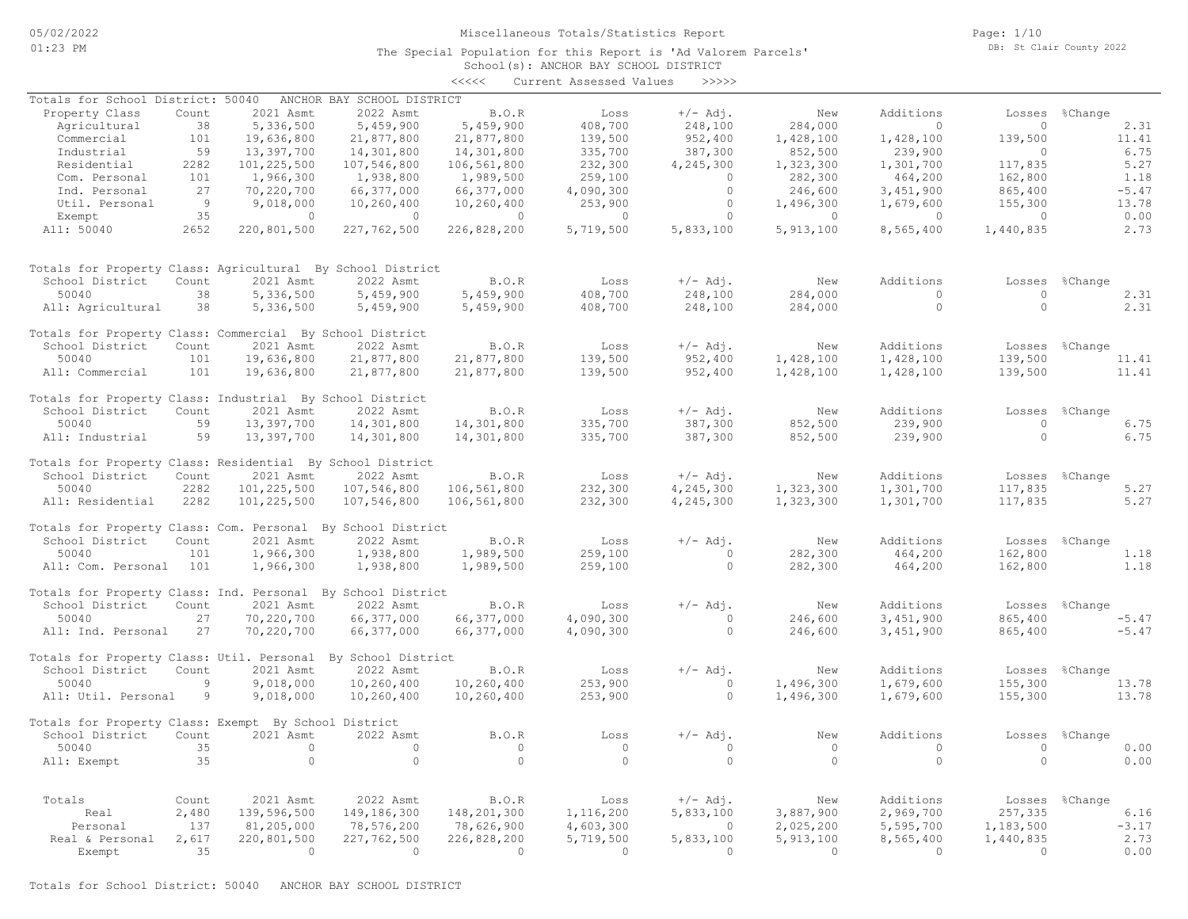Page: 1/10 DB: St Clair County 2022

### School(s): ANCHOR BAY SCHOOL DISTRICT The Special Population for this Report is 'Ad Valorem Parcels'

|                                                              |                |                |                            | <<<<           | Current Assessed Values | >>>>>      |                |                |                |                |
|--------------------------------------------------------------|----------------|----------------|----------------------------|----------------|-------------------------|------------|----------------|----------------|----------------|----------------|
| Totals for School District: 50040                            |                |                | ANCHOR BAY SCHOOL DISTRICT |                |                         |            |                |                |                |                |
| Property Class                                               | Count          | 2021 Asmt      | 2022 Asmt                  | B.O.R          | Loss                    | $+/-$ Adj. | New            | Additions      |                | Losses %Change |
| Agricultural                                                 | 38             | 5,336,500      | 5,459,900                  | 5,459,900      | 408,700                 | 248,100    | 284,000        | $\bigcirc$     | $\overline{0}$ | 2.31           |
| Commercial                                                   | 101            | 19,636,800     | 21,877,800                 | 21,877,800     | 139,500                 | 952,400    | 1,428,100      | 1,428,100      | 139,500        | 11.41          |
| Industrial                                                   | 59             | 13,397,700     | 14,301,800                 | 14,301,800     | 335,700                 | 387,300    | 852,500        | 239,900        | $\Omega$       | 6.75           |
| Residential                                                  | 2282           | 101,225,500    | 107,546,800                | 106,561,800    | 232,300                 | 4,245,300  | 1,323,300      | 1,301,700      | 117,835        | 5.27           |
| Com. Personal                                                | 101            | 1,966,300      | 1,938,800                  | 1,989,500      | 259,100                 | $\Omega$   | 282,300        | 464,200        | 162,800        | 1.18           |
| Ind. Personal                                                | 27             | 70,220,700     | 66,377,000                 | 66,377,000     | 4,090,300               | $\circ$    | 246,600        | 3,451,900      | 865,400        | $-5.47$        |
| Util. Personal                                               | $\overline{9}$ | 9,018,000      | 10,260,400                 | 10, 260, 400   | 253,900                 | $\Omega$   | 1,496,300      | 1,679,600      | 155,300        | 13.78          |
|                                                              | 35             | $\overline{0}$ | $\overline{0}$             | $\overline{0}$ | $\circ$                 | $\circ$    | $\overline{0}$ | $\overline{0}$ | $\overline{0}$ | 0.00           |
| Exempt<br>All: 50040                                         | 2652           | 220,801,500    | 227,762,500                | 226,828,200    | 5,719,500               | 5,833,100  | 5, 913, 100    | 8,565,400      | 1,440,835      | 2.73           |
|                                                              |                |                |                            |                |                         |            |                |                |                |                |
| Totals for Property Class: Agricultural By School District   |                |                |                            |                |                         |            |                |                |                |                |
| School District                                              | Count          | 2021 Asmt      | 2022 Asmt                  | B.O.R          | Loss                    | $+/-$ Adj. | New            | Additions      | Losses         | %Change        |
| 50040                                                        | 38             | 5,336,500      | 5,459,900                  | 5,459,900      | 408,700                 | 248,100    | 284,000        | $\overline{0}$ | $\circ$        | 2.31           |
| All: Agricultural                                            | 38             | 5,336,500      | 5,459,900                  | 5,459,900      | 408,700                 | 248,100    | 284,000        | $\circ$        | $\circ$        | 2.31           |
| Totals for Property Class: Commercial By School District     |                |                |                            |                |                         |            |                |                |                |                |
| School District                                              | Count          | 2021 Asmt      | 2022 Asmt                  | B.O.R          | Loss                    | $+/-$ Adj. | New            | Additions      |                | Losses %Change |
| 50040                                                        | 101            | 19,636,800     | 21,877,800                 | 21,877,800     | 139,500                 | 952,400    | 1,428,100      | 1,428,100      | 139,500        | 11.41          |
| All: Commercial                                              | 101            | 19,636,800     | 21,877,800                 | 21,877,800     | 139,500                 | 952,400    | 1,428,100      | 1,428,100      | 139,500        | 11.41          |
|                                                              |                |                |                            |                |                         |            |                |                |                |                |
| Totals for Property Class: Industrial By School District     |                |                |                            |                |                         |            |                |                |                |                |
| School District                                              | Count          | 2021 Asmt      | 2022 Asmt                  | <b>B.O.R</b>   | Loss                    | $+/-$ Adj. | New            | Additions      | Losses         | %Change        |
| 50040                                                        | 59             | 13,397,700     | 14,301,800                 | 14,301,800     | 335,700                 | 387,300    | 852,500        | 239,900        | $\Omega$       | 6.75           |
| All: Industrial                                              | 59             | 13,397,700     | 14,301,800                 | 14,301,800     | 335,700                 | 387,300    | 852,500        | 239,900        | $\Omega$       | 6.75           |
| Totals for Property Class: Residential By School District    |                |                |                            |                |                         |            |                |                |                |                |
| School District                                              | Count          | 2021 Asmt      | 2022 Asmt                  | B.0.R          | Loss                    | $+/-$ Adj. | New            | Additions      |                | Losses %Change |
| 50040                                                        | 2282           | 101,225,500    | 107,546,800                | 106,561,800    | 232,300                 | 4,245,300  | 1,323,300      | 1,301,700      | 117,835        | 5.27           |
| All: Residential                                             | 2282           | 101,225,500    | 107,546,800                | 106,561,800    | 232,300                 | 4,245,300  | 1,323,300      | 1,301,700      | 117,835        | 5.27           |
|                                                              |                |                |                            |                |                         |            |                |                |                |                |
| Totals for Property Class: Com. Personal By School District  |                |                |                            |                |                         |            |                |                |                |                |
| School District                                              | Count          | 2021 Asmt      | 2022 Asmt                  | B.O.R          | Loss                    | $+/-$ Adj. | New            | Additions      | Losses         | %Change        |
| 50040                                                        | 101            | 1,966,300      | 1,938,800                  | 1,989,500      | 259,100                 | $\circ$    | 282,300        | 464,200        | 162,800        | 1.18           |
| All: Com. Personal                                           | 101            | 1,966,300      | 1,938,800                  | 1,989,500      | 259,100                 | $\circ$    | 282,300        | 464,200        | 162,800        | 1.18           |
| Totals for Property Class: Ind. Personal By School District  |                |                |                            |                |                         |            |                |                |                |                |
| School District                                              | Count          | 2021 Asmt      | 2022 Asmt                  | B.O.R          | Loss                    | $+/-$ Adj. | New            | Additions      |                | Losses %Change |
| 50040                                                        | 27             | 70,220,700     | 66,377,000                 | 66,377,000     | 4,090,300               | $\Omega$   | 246,600        | 3,451,900      | 865,400        | $-5.47$        |
| All: Ind. Personal                                           | 27             | 70,220,700     | 66,377,000                 | 66,377,000     | 4,090,300               | $\circ$    | 246,600        | 3,451,900      | 865,400        | $-5.47$        |
|                                                              |                |                |                            |                |                         |            |                |                |                |                |
| Totals for Property Class: Util. Personal By School District |                |                |                            |                |                         |            |                |                |                |                |
| School District                                              | Count          | 2021 Asmt      | 2022 Asmt                  | B.O.R          | Loss                    | $+/-$ Adj. | New            | Additions      |                | Losses %Change |
| 50040                                                        | $\overline{9}$ | 9,018,000      | 10,260,400                 | 10,260,400     | 253,900                 | $\Omega$   | 1,496,300      | 1,679,600      | 155,300        | 13.78          |
| All: Util. Personal                                          | 9              | 9,018,000      | 10,260,400                 | 10,260,400     | 253,900                 | $\circ$    | 1,496,300      | 1,679,600      | 155,300        | 13.78          |
| Totals for Property Class: Exempt By School District         |                |                |                            |                |                         |            |                |                |                |                |
| School District                                              | Count          | 2021 Asmt      | 2022 Asmt                  | B.O.R          | Loss                    | $+/-$ Adj. | New            | Additions      | Losses         | %Change        |
| 50040                                                        | 35             | $\overline{0}$ | $\circ$                    | $\circ$        | $\overline{0}$          | $\circ$    | $\overline{0}$ | $\circ$        | $\overline{0}$ | 0.00           |
| All: Exempt                                                  | 35             | $\circ$        | $\circ$                    | $\circ$        | $\Omega$                | $\circ$    | $\Omega$       | $\circ$        | $\circ$        | 0.00           |
|                                                              |                |                |                            |                |                         |            |                |                |                |                |
| Totals                                                       | Count          | 2021 Asmt      | 2022 Asmt                  | B.O.R          | Loss                    | $+/-$ Adj. | New            | Additions      |                | Losses %Change |
| Real                                                         | 2,480          | 139,596,500    | 149,186,300                | 148,201,300    | 1,116,200               | 5,833,100  | 3,887,900      | 2,969,700      | 257,335        | 6.16           |
| Personal                                                     | 137            | 81,205,000     | 78,576,200                 | 78,626,900     | 4,603,300               | $\circ$    | 2,025,200      | 5,595,700      | 1,183,500      | $-3.17$        |
| Real & Personal                                              | 2,617          | 220,801,500    | 227,762,500                | 226,828,200    | 5,719,500               | 5,833,100  | 5,913,100      | 8,565,400      | 1,440,835      | 2.73           |
| Exempt                                                       | 35             | $\bigcirc$     | $\overline{0}$             | $\Omega$       | $\Omega$                | $\Omega$   | $\Omega$       | $\overline{0}$ | $\Omega$       | 0.00           |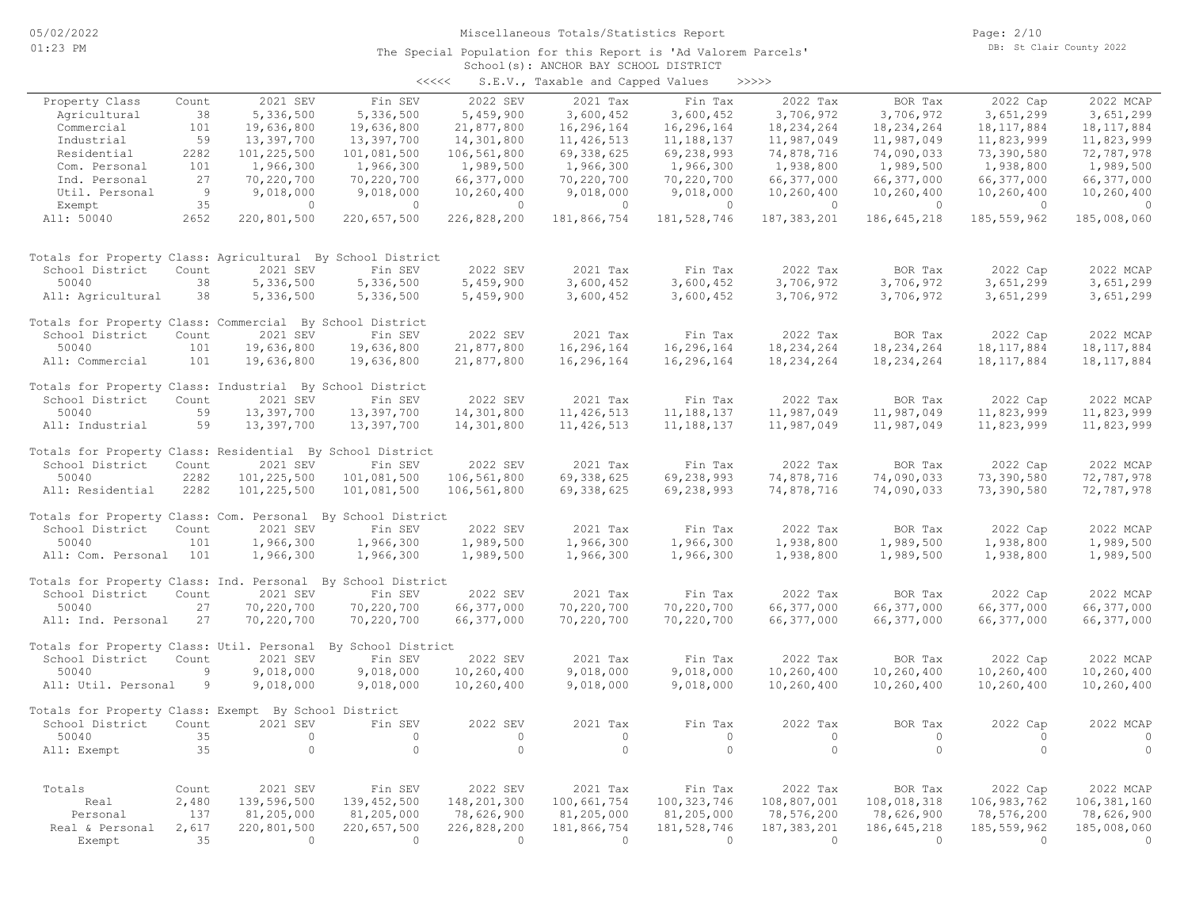Page: 2/10 DB: St Clair County 2022

#### School(s): ANCHOR BAY SCHOOL DISTRICT The Special Population for this Report is 'Ad Valorem Parcels'

| くくくくく | S.E.V., Taxable and Capped Values |  |  |  | >>>>> |
|-------|-----------------------------------|--|--|--|-------|
|-------|-----------------------------------|--|--|--|-------|

|                                                              |              |                           |                           |                | $5.2.77$ candidate and capped |                           |                           |                           |                           |                           |
|--------------------------------------------------------------|--------------|---------------------------|---------------------------|----------------|-------------------------------|---------------------------|---------------------------|---------------------------|---------------------------|---------------------------|
| Property Class                                               | Count        | 2021 SEV                  | Fin SEV                   | 2022 SEV       | 2021 Tax                      | Fin Tax                   | 2022 Tax                  | BOR Tax                   | 2022 Cap                  | 2022 MCAP                 |
| Agricultural                                                 | 38           | 5,336,500                 | 5,336,500                 | 5,459,900      | 3,600,452                     | 3,600,452                 | 3,706,972                 | 3,706,972                 | 3,651,299                 | 3,651,299                 |
| Commercial                                                   | 101          | 19,636,800                | 19,636,800                | 21,877,800     | 16,296,164                    | 16,296,164                | 18,234,264                | 18,234,264                | 18, 117, 884              | 18, 117, 884              |
| Industrial                                                   | 59           | 13,397,700                | 13,397,700                | 14,301,800     | 11, 426, 513                  | 11,188,137                | 11,987,049                | 11,987,049                | 11,823,999                | 11,823,999                |
| Residential                                                  | 2282         | 101,225,500               | 101,081,500               | 106,561,800    | 69, 338, 625                  | 69,238,993                | 74,878,716                | 74,090,033                | 73,390,580                | 72,787,978                |
| Com. Personal                                                | 101          | 1,966,300                 | 1,966,300                 | 1,989,500      | 1,966,300                     | 1,966,300                 | 1,938,800                 | 1,989,500                 | 1,938,800                 | 1,989,500                 |
| Ind. Personal                                                | 27           | 70,220,700                | 70,220,700                | 66,377,000     | 70,220,700                    | 70,220,700                | 66,377,000                | 66,377,000                | 66,377,000                | 66,377,000                |
| Util. Personal                                               | - 9          | 9,018,000                 | 9,018,000                 | 10,260,400     | 9,018,000                     | 9,018,000                 | 10,260,400                | 10,260,400                | 10,260,400                | 10,260,400                |
| Exempt                                                       | 35           | $\circ$                   | $\circ$                   | $\circ$        | $\circ$                       | $\circ$                   | $\circ$                   | $\circ$                   | $\circ$                   | $\overline{0}$            |
| All: 50040                                                   | 2652         | 220,801,500               | 220,657,500               | 226,828,200    | 181,866,754                   | 181, 528, 746             | 187, 383, 201             | 186,645,218               | 185, 559, 962             | 185,008,060               |
| Totals for Property Class: Agricultural By School District   |              |                           |                           |                |                               |                           |                           |                           |                           |                           |
| School District                                              | Count        | 2021 SEV                  | Fin SEV                   | 2022 SEV       | 2021 Tax                      | Fin Tax                   | 2022 Tax                  | BOR Tax                   | 2022 Cap                  | 2022 MCAP                 |
| 50040                                                        | 38           | 5,336,500                 | 5,336,500                 | 5,459,900      | 3,600,452                     | 3,600,452                 | 3,706,972                 | 3,706,972                 | 3,651,299                 | 3,651,299                 |
| All: Agricultural                                            | 38           | 5,336,500                 | 5,336,500                 | 5,459,900      | 3,600,452                     | 3,600,452                 | 3,706,972                 | 3,706,972                 | 3,651,299                 | 3,651,299                 |
| Totals for Property Class: Commercial By School District     |              |                           |                           |                |                               |                           |                           |                           |                           |                           |
| School District                                              | Count        | 2021 SEV                  | Fin SEV                   | 2022 SEV       | 2021 Tax                      | Fin Tax                   | 2022 Tax                  | BOR Tax                   | 2022 Cap                  | 2022 MCAP                 |
| 50040                                                        | 101          | 19,636,800                | 19,636,800                | 21,877,800     | 16,296,164                    | 16,296,164                | 18,234,264                | 18, 234, 264              | 18, 117, 884              | 18, 117, 884              |
| All: Commercial                                              | 101          | 19,636,800                | 19,636,800                | 21,877,800     | 16,296,164                    | 16,296,164                | 18,234,264                | 18,234,264                | 18, 117, 884              | 18, 117, 884              |
| Totals for Property Class: Industrial By School District     |              |                           |                           |                |                               |                           |                           |                           |                           |                           |
| School District                                              | Count        | 2021 SEV                  | Fin SEV                   | 2022 SEV       | 2021 Tax                      | Fin Tax                   | 2022 Tax                  | BOR Tax                   | 2022 Cap                  | 2022 MCAP                 |
| 50040                                                        | 59           | 13,397,700                | 13,397,700                | 14,301,800     | 11, 426, 513                  | 11, 188, 137              | 11,987,049                | 11,987,049                | 11,823,999                | 11,823,999                |
| All: Industrial                                              | 59           | 13,397,700                | 13,397,700                | 14,301,800     | 11, 426, 513                  | 11, 188, 137              | 11,987,049                | 11,987,049                | 11,823,999                | 11,823,999                |
| Totals for Property Class: Residential By School District    |              |                           |                           |                |                               |                           |                           |                           |                           |                           |
| School District                                              | Count        | 2021 SEV                  | Fin SEV                   | 2022 SEV       | 2021 Tax                      | Fin Tax                   | 2022 Tax                  | BOR Tax                   | 2022 Cap                  | 2022 MCAP                 |
| 50040                                                        | 2282         | 101,225,500               | 101,081,500               | 106,561,800    | 69, 338, 625                  | 69,238,993                | 74,878,716                | 74,090,033                | 73,390,580                | 72,787,978                |
| All: Residential                                             | 2282         | 101,225,500               | 101,081,500               | 106,561,800    | 69, 338, 625                  | 69,238,993                | 74,878,716                | 74,090,033                | 73,390,580                | 72,787,978                |
| Totals for Property Class: Com. Personal By School District  |              |                           |                           |                |                               |                           |                           |                           |                           |                           |
| School District                                              | Count        | 2021 SEV                  | Fin SEV                   | 2022 SEV       | 2021 Tax                      | Fin Tax                   | 2022 Tax                  | BOR Tax                   | 2022 Cap                  | 2022 MCAP                 |
| 50040                                                        | 101          | 1,966,300                 | 1,966,300                 | 1,989,500      | 1,966,300                     | 1,966,300                 | 1,938,800                 | 1,989,500                 | 1,938,800                 | 1,989,500                 |
| All: Com. Personal                                           | 101          | 1,966,300                 | 1,966,300                 | 1,989,500      | 1,966,300                     | 1,966,300                 | 1,938,800                 | 1,989,500                 | 1,938,800                 | 1,989,500                 |
| Totals for Property Class: Ind. Personal By School District  |              |                           |                           |                |                               |                           |                           |                           |                           |                           |
| School District                                              | Count        | 2021 SEV                  | Fin SEV                   | 2022 SEV       | 2021 Tax                      | Fin Tax                   | 2022 Tax                  | BOR Tax                   | 2022 Cap                  | 2022 MCAP                 |
| 50040                                                        | 27           | 70,220,700                | 70,220,700                | 66,377,000     | 70,220,700                    | 70,220,700                | 66,377,000                | 66,377,000                | 66,377,000                | 66,377,000                |
| All: Ind. Personal                                           | 27           | 70,220,700                | 70,220,700                | 66,377,000     | 70,220,700                    | 70,220,700                | 66,377,000                | 66,377,000                | 66,377,000                | 66,377,000                |
| Totals for Property Class: Util. Personal By School District |              |                           |                           |                |                               |                           |                           |                           |                           |                           |
| School District                                              | Count        | 2021 SEV                  | Fin SEV                   | 2022 SEV       | 2021 Tax                      | Fin Tax                   | 2022 Tax                  | BOR Tax                   | 2022 Cap                  | 2022 MCAP                 |
| 50040                                                        | 9            | 9,018,000                 | 9,018,000                 | 10,260,400     | 9,018,000                     | 9,018,000                 | 10,260,400                | 10,260,400                | 10,260,400                | 10,260,400                |
| All: Util. Personal                                          | 9            | 9,018,000                 | 9,018,000                 | 10,260,400     | 9,018,000                     | 9,018,000                 | 10,260,400                | 10,260,400                | 10,260,400                | 10,260,400                |
| Totals for Property Class: Exempt By School District         |              |                           |                           |                |                               |                           |                           |                           |                           |                           |
| School District                                              | Count        | 2021 SEV                  | Fin SEV                   | 2022 SEV       | 2021 Tax                      | Fin Tax                   | 2022 Tax                  | BOR Tax                   | 2022 Cap                  | 2022 MCAP                 |
| 50040                                                        | 35           | $\circ$                   | $\circ$                   | $\circ$        | $\circ$                       | $\circ$                   | $\circ$                   | $\circ$                   | $\circ$                   | $\overline{0}$            |
| All: Exempt                                                  | 35           | $\circ$                   | $\circ$                   | $\circ$        | $\circ$                       | $\circ$                   | $\circ$                   | $\circ$                   | $\circ$                   | $\overline{0}$            |
| Totals                                                       |              | 2021 SEV                  | Fin SEV                   | 2022 SEV       | 2021 Tax                      | Fin Tax                   | 2022 Tax                  | BOR Tax                   | 2022 Cap                  | 2022 MCAP                 |
|                                                              | Count        | 139,596,500               | 139, 452, 500             | 148,201,300    |                               | 100, 323, 746             |                           |                           |                           | 106, 381, 160             |
| Real<br>Personal                                             | 2,480<br>137 |                           |                           | 78,626,900     | 100,661,754                   |                           | 108,807,001               | 108,018,318<br>78,626,900 | 106, 983, 762             |                           |
| Real & Personal                                              | 2,617        | 81,205,000<br>220,801,500 | 81,205,000<br>220,657,500 | 226,828,200    | 81,205,000<br>181,866,754     | 81,205,000<br>181,528,746 | 78,576,200<br>187,383,201 | 186,645,218               | 78,576,200<br>185,559,962 | 78,626,900<br>185,008,060 |
| Exempt                                                       | 35           | $\Omega$                  | $\overline{0}$            | $\overline{0}$ | $\bigcirc$                    | $\Omega$                  | $\Omega$                  | $\bigcirc$                | $\Omega$                  | $\bigcirc$                |
|                                                              |              |                           |                           |                |                               |                           |                           |                           |                           |                           |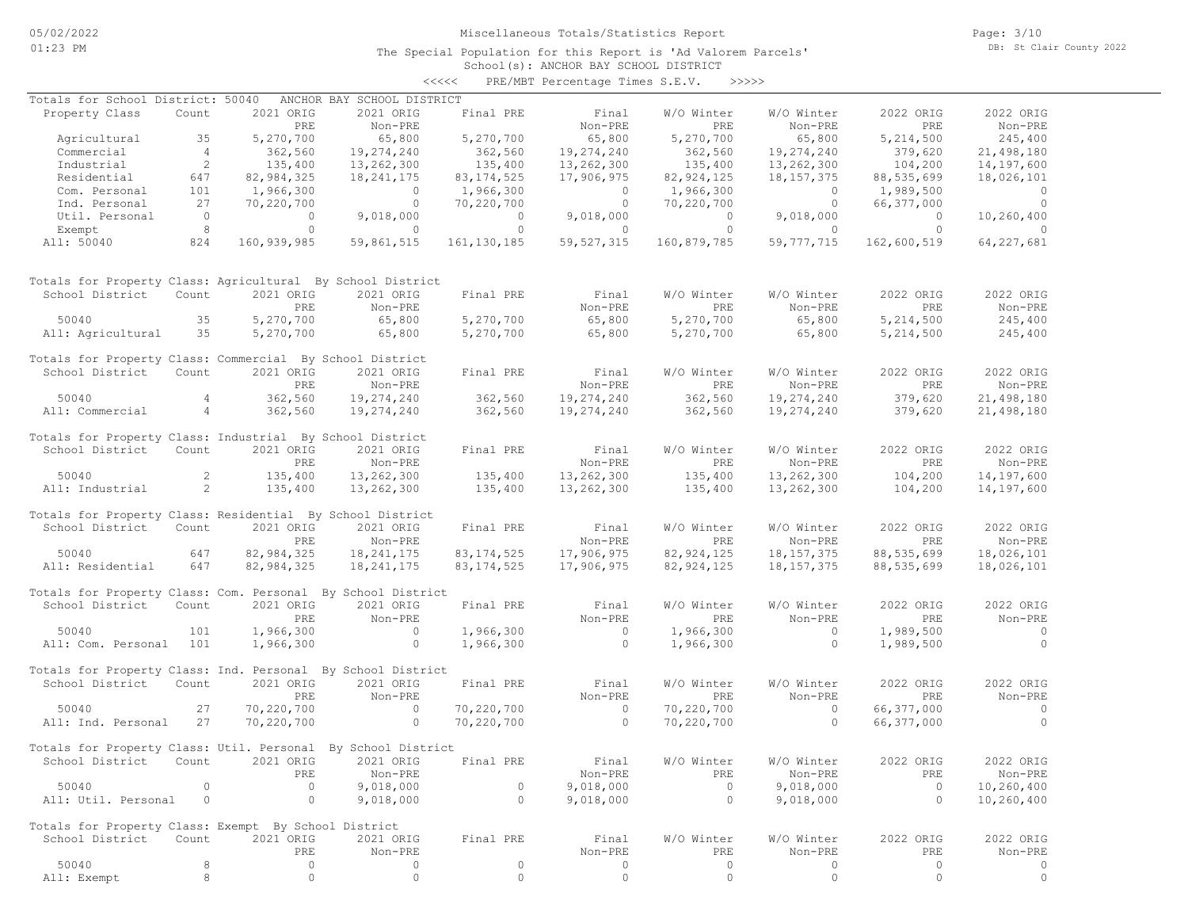The Special Population for this Report is 'Ad Valorem Parcels'

Page: 3/10 DB: St Clair County 2022

#### School(s): ANCHOR BAY SCHOOL DISTRICT <<<<< PRE/MBT Percentage Times S.E.V. >>>>>

| Totals for School District: 50040                            |                 |                    | ANCHOR BAY SCHOOL DISTRICT |                    |                                       |                        |                |                                       |                          |
|--------------------------------------------------------------|-----------------|--------------------|----------------------------|--------------------|---------------------------------------|------------------------|----------------|---------------------------------------|--------------------------|
| Property Class                                               | Count           | 2021 ORIG          | 2021 ORIG                  | Final PRE          | Final                                 | W/O Winter             | W/O Winter     | 2022 ORIG                             | 2022 ORIG                |
|                                                              |                 | PRE                | Non-PRE                    |                    | Non-PRE                               | PRE                    | Non-PRE        | PRE                                   | Non-PRE                  |
| Agricultural                                                 | 35              | 5,270,700          | 65,800                     | 5,270,700          | 65,800                                | 5,270,700              | 65,800         | 5,214,500                             | 245,400                  |
| Commercial                                                   | 4               |                    | 19,274,240                 |                    | 19,274,240                            | $362,560$<br>$135,400$ | 19,274,240     |                                       | 21,498,180               |
| Industrial                                                   | $\overline{2}$  | 362,560<br>135,400 | 13,262,300                 | 362,560<br>135,400 | 13,262,300                            |                        | 13,262,300     | 379,620<br>104,200                    | 14,197,600               |
| Residential                                                  | 647             | 82,984,325         | 18,241,175                 | 83, 174, 525       | 17,906,975                            | 82, 924, 125           | 18, 157, 375   | 88,535,699                            | 18,026,101               |
| Com. Personal                                                | 101             | 1,966,300          |                            |                    |                                       | 1,966,300              |                |                                       | $\overline{\phantom{0}}$ |
|                                                              |                 |                    | $\overline{a}$             | 1,966,300          | $\begin{array}{c} 0 \\ 0 \end{array}$ |                        | $\sim$ 0       | 1,989,500                             |                          |
| Ind. Personal                                                | 27              | 70,220,700         | $\sim$ 0                   | 70,220,700         |                                       | 70,220,700             | $\sim$ 0       | 66,377,000                            | $\sim$ 0                 |
| Util. Personal                                               | $\sim$ 0        | $\circ$            | 9,018,000                  | $\overline{a}$     | 9,018,000                             | $\overline{0}$         | 9,018,000      | $\begin{array}{c} 0 \\ 0 \end{array}$ | 10,260,400               |
| Exempt                                                       | 8               | $\circ$            | $\sim$ 0                   | $\overline{0}$     | $\overline{0}$                        | $\circ$                | $\overline{0}$ | $\overline{0}$                        | $\sim$ 0                 |
| All: 50040                                                   | 824             | 160,939,985        | 59,861,515                 | 161, 130, 185      | 59, 527, 315                          | 160,879,785            | 59,777,715     | 162,600,519                           | 64, 227, 681             |
| Totals for Property Class: Agricultural By School District   |                 |                    |                            |                    |                                       |                        |                |                                       |                          |
| School District                                              | Count           | 2021 ORIG          | 2021 ORIG                  | Final PRE          | Final                                 | W/O Winter             | W/O Winter     | 2022 ORIG                             | 2022 ORIG                |
|                                                              |                 | PRE                | Non-PRE                    |                    | Non-PRE                               | PRE                    | Non-PRE        | PRE                                   | Non-PRE                  |
| 50040                                                        | 35              | 5,270,700          | 65,800                     | 5,270,700          | 65,800                                | 5,270,700              | 65,800         | 5, 214, 500                           | 245,400                  |
|                                                              |                 |                    | 65,800                     |                    |                                       |                        |                |                                       |                          |
| All: Agricultural                                            | 35              | 5,270,700          |                            | 5,270,700          | 65,800                                | 5,270,700              | 65,800         | 5, 214, 500                           | 245,400                  |
| Totals for Property Class: Commercial By School District     |                 |                    |                            |                    |                                       |                        |                |                                       |                          |
| School District Count                                        |                 | 2021 ORIG          | 2021 ORIG                  | Final PRE          | Final                                 | W/O Winter             | W/O Winter     | 2022 ORIG                             | 2022 ORIG                |
|                                                              |                 | PRE                | Non-PRE                    |                    | Non-PRE                               | PRE                    | Non-PRE        | PRE                                   | Non-PRE                  |
| 50040                                                        | $\overline{4}$  | 362,560            | 19,274,240                 | 362,560            | 19,274,240                            | 362,560                | 19,274,240     | 379,620                               | 21,498,180               |
| All: Commercial                                              | $4\overline{4}$ | 362,560            | 19,274,240                 | 362,560            | 19,274,240                            | 362,560                | 19,274,240     | 379,620                               | 21,498,180               |
|                                                              |                 |                    |                            |                    |                                       |                        |                |                                       |                          |
| Totals for Property Class: Industrial By School District     |                 |                    |                            |                    |                                       |                        |                |                                       |                          |
| School District                                              | Count           | 2021 ORIG          | 2021 ORIG                  | Final PRE          | Final                                 | W/O Winter             | W/O Winter     | 2022 ORIG                             | 2022 ORIG                |
|                                                              |                 | PRE                | Non-PRE                    |                    | Non-PRE                               | PRE                    | Non-PRE        | PRE                                   | Non-PRE                  |
| 50040                                                        | 2               | 135,400            | 13,262,300                 | 135,400<br>135,400 | 13,262,300                            |                        | 13,262,300     |                                       | 14,197,600               |
| All: Industrial                                              | $\sim$ 2        | 135,400            | 13,262,300                 |                    | 13,262,300                            | 135,400<br>135,400     | 13,262,300     | $104, 200$<br>$104, 200$<br>104,200   | 14,197,600               |
|                                                              |                 |                    |                            |                    |                                       |                        |                |                                       |                          |
| Totals for Property Class: Residential By School District    |                 |                    |                            |                    |                                       |                        |                |                                       |                          |
| School District Count                                        |                 | 2021 ORIG          | 2021 ORIG                  | Final PRE          | Final                                 | W/O Winter             | W/O Winter     | 2022 ORIG                             | 2022 ORIG                |
|                                                              |                 | PRE                | Non-PRE                    |                    | Non-PRE                               | <b>PRE</b>             | Non-PRE        | PRE                                   | Non-PRE                  |
| 50040                                                        | 647             | 82,984,325         |                            | 83, 174, 525       |                                       | 82, 924, 125           |                | 88,535,699                            |                          |
|                                                              |                 |                    | 18,241,175                 |                    | 17,906,975                            |                        | 18,157,375     |                                       | 18,026,101               |
| All: Residential 647                                         |                 | 82,984,325         | 18, 241, 175               | 83, 174, 525       | 17,906,975                            | 82, 924, 125           | 18, 157, 375   | 88,535,699                            | 18,026,101               |
| Totals for Property Class: Com. Personal By School District  |                 |                    |                            |                    |                                       |                        |                |                                       |                          |
| School District                                              | Count           | 2021 ORIG          | 2021 ORIG                  | Final PRE          | Final                                 | W/O Winter             | W/O Winter     | 2022 ORIG                             | 2022 ORIG                |
|                                                              |                 | PRE                | Non-PRE                    |                    | Non-PRE                               | PRE                    | Non-PRE        | PRE                                   | Non-PRE                  |
|                                                              |                 |                    |                            |                    |                                       |                        |                |                                       |                          |
| 50040                                                        | 101             | 1,966,300          | $\overline{0}$             | 1,966,300          | $\overline{0}$                        | 1,966,300              | $\overline{0}$ | 1,989,500                             | $\sim$ 0                 |
| All: Com. Personal 101                                       |                 | 1,966,300          | $\sim$ 0                   | 1,966,300          | $\overline{0}$                        | 1,966,300              | $\circ$        | 1,989,500                             | $\overline{0}$           |
| Totals for Property Class: Ind. Personal By School District  |                 |                    |                            |                    |                                       |                        |                |                                       |                          |
| School District                                              | Count           | 2021 ORIG          | 2021 ORIG                  | Final PRE          | Final                                 | W/O Winter             | W/O Winter     | 2022 ORIG                             | 2022 ORIG                |
|                                                              |                 | PRE                | Non-PRE                    |                    | Non-PRE                               | PRE                    | Non-PRE        | PRE                                   | Non-PRE                  |
|                                                              |                 |                    |                            |                    |                                       |                        |                |                                       |                          |
| 50040                                                        | 27              | 70,220,700         | $\sim$ 0<br>$\overline{0}$ | 70,220,700         | $\sim$ 0                              | 70,220,700             | $\sim$ 0       | 66,377,000                            | $\sim$ 0                 |
| All: Ind. Personal                                           | 27              | 70,220,700         |                            | 70,220,700         | $\sim$ 0                              | 70,220,700             | $\sim$ 0       | 66,377,000                            | $\Omega$                 |
| Totals for Property Class: Util. Personal By School District |                 |                    |                            |                    |                                       |                        |                |                                       |                          |
|                                                              |                 |                    |                            |                    |                                       |                        |                |                                       | 2022 ORIG                |
| School District Count 2021 ORIG 2021 ORIG Final PRE          |                 |                    |                            |                    | Final                                 | W/O Winter             | W/O Winter     | 2022 ORIG                             |                          |
|                                                              |                 | PRE                | Non-PRE                    |                    | Non-PRE                               | PRE                    | Non-PRE        | PRE                                   | Non-PRE                  |
| 50040                                                        | $\Omega$        | $\circ$            | 9,018,000                  | $\circ$            | 9,018,000                             | $\circ$                | 9,018,000      | $\circ$                               | 10,260,400               |
| All: Util. Personal                                          | $\circ$         | $\circ$            | 9,018,000                  | $\circ$            | 9,018,000                             | $\circ$                | 9,018,000      | $\circ$                               | 10,260,400               |
|                                                              |                 |                    |                            |                    |                                       |                        |                |                                       |                          |
| Totals for Property Class: Exempt By School District         |                 |                    |                            |                    |                                       |                        |                |                                       |                          |
| School District                                              | Count           | 2021 ORIG          | 2021 ORIG                  | Final PRE          | Final                                 | W/O Winter             | W/O Winter     | 2022 ORIG                             | 2022 ORIG                |
|                                                              |                 | PRE                | Non-PRE                    |                    | Non-PRE                               | PRE                    | Non-PRE        | PRE                                   | Non-PRE                  |
| 50040                                                        | 8               | $\circ$            | 0                          | 0                  | 0                                     | $\circ$                | 0              | 0                                     | 0                        |
| All: Exempt                                                  | 8               | $\circ$            | 0                          | $\circ$            | $\circ$                               | $\circ$                | $\circ$        | $\circ$                               | $\circ$                  |
|                                                              |                 |                    |                            |                    |                                       |                        |                |                                       |                          |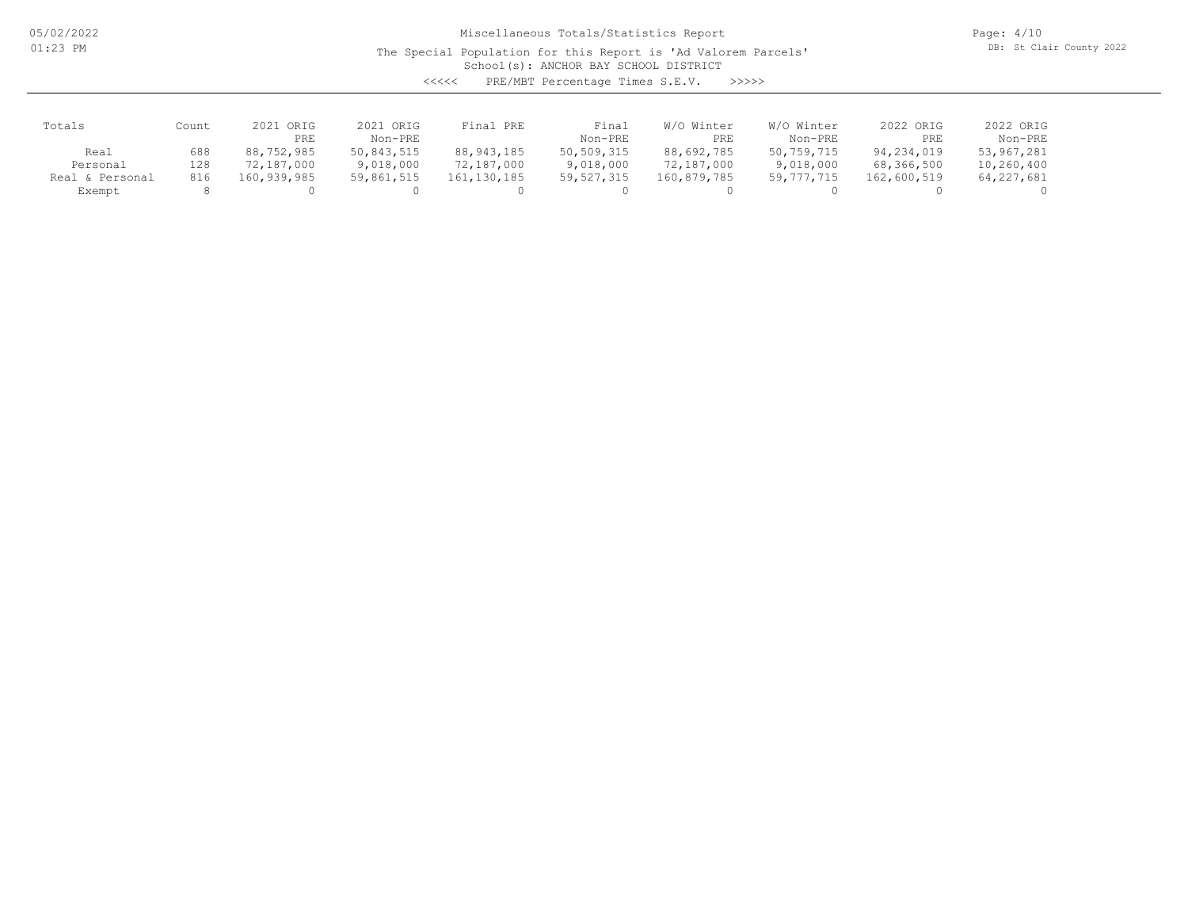The Special Population for this Report is 'Ad Valorem Parcels'

Page: 4/10 DB: St Clair County 2022

School(s): ANCHOR BAY SCHOOL DISTRICT

<<<<< PRE/MBT Percentage Times S.E.V. >>>>>

| Totals             | Count | ORIG<br>2021<br>PRE | 2021 ORIG<br>Non-PRE | Final PRE    | Final<br>Non-PRE | Winter<br>W/O<br>PRE | W/O Winter<br>Non-PRE | 2022 ORIG<br>PRE | 2022 ORIG<br>Non-PRE |
|--------------------|-------|---------------------|----------------------|--------------|------------------|----------------------|-----------------------|------------------|----------------------|
| Real               | 688   | 88,752,985          | 50,843,515           | 88, 943, 185 | 50,509,315       | 88,692,785           | 50,759,715            | 94,234,019       | 53,967,281           |
| Personal           | 128   | 72,187,000          | 9,018,000            | 72,187,000   | 9,018,000        | 72,187,000           | 9,018,000             | 68,366,500       | 10,260,400           |
| & Personal<br>Real | 816   | 160,939,985         | 59,861,515           | 161,130,185  | 59, 527, 315     | 160,879,785          | 59,777,715            | 162,600,519      | 64, 227, 681         |
| Exempt             |       |                     |                      |              |                  |                      |                       |                  |                      |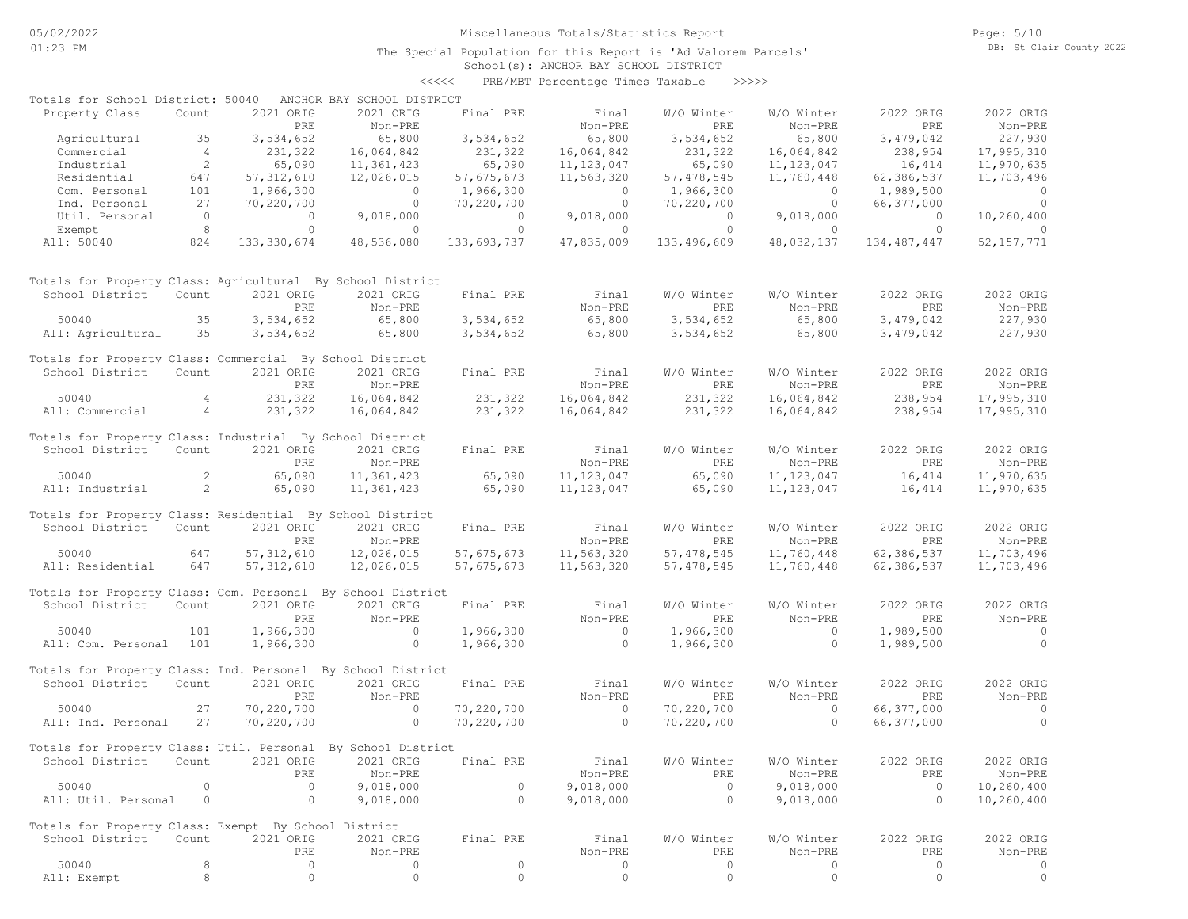The Special Population for this Report is 'Ad Valorem Parcels'

Page: 5/10 DB: St Clair County 2022

### School(s): ANCHOR BAY SCHOOL DISTRICT <<<<< PRE/MBT Percentage Times Taxable >>>>>

| Totals for School District: 50040                            |                 |                | ANCHOR BAY SCHOOL DISTRICT        |                |                |                      |                                   |                |                |
|--------------------------------------------------------------|-----------------|----------------|-----------------------------------|----------------|----------------|----------------------|-----------------------------------|----------------|----------------|
| Property Class                                               | Count           | 2021 ORIG      | 2021 ORIG                         | Final PRE      | Final          | W/O Winter           | W/O Winter                        | 2022 ORIG      | 2022 ORIG      |
|                                                              |                 | PRE            | Non-PRE                           |                | Non-PRE        | PRE                  | Non-PRE                           | PRE            | Non-PRE        |
| Agricultural                                                 | 35              | 3,534,652      | 65,800                            | 3,534,652      | 65,800         | 3,534,652            | 65,800                            | 3,479,042      | 227,930        |
| Commercial                                                   | 4 <sup>1</sup>  | 231,322        | 16,064,842                        | 231,322        | 16,064,842     | 231,322              | 16,064,842                        | 238,954        | 17,995,310     |
| Industrial                                                   | $\overline{2}$  | 65,090         | 11,361,423                        | 65,090         | 11, 123, 047   | 65,090               | 11, 123, 047                      | 16,414         | 11,970,635     |
| Residential                                                  | 647             | 57, 312, 610   | 12,026,015                        | 57,675,673     | 11,563,320     | 57, 478, 545         | 11,760,448                        | 62,386,537     | 11,703,496     |
| Com. Personal                                                | 101             | 1,966,300      | $\overline{0}$                    | 1,966,300      | $\overline{0}$ | 1,966,300            | $\overline{0}$                    | 1,989,500      | $\overline{0}$ |
| Ind. Personal                                                | 27              | 70,220,700     | $\overline{0}$                    | 70,220,700     | $\overline{0}$ | 70,220,700           | $\overline{0}$                    | 66,377,000     | $\Omega$       |
| Util. Personal                                               | $\overline{0}$  | $\overline{0}$ | 9,018,000                         | $\sim$ 0       | 9,018,000      | $\overline{0}$       | 9,018,000                         | $\overline{0}$ | 10,260,400     |
| Exempt                                                       | 8               | $\circ$        | $\overline{0}$                    | $\overline{0}$ | $\overline{0}$ | $\overline{0}$       | $\overline{0}$                    | $\overline{0}$ | $\Omega$       |
| All: 50040                                                   | 824             | 133,330,674    | 48,536,080                        | 133,693,737    | 47,835,009     | 133,496,609          | 48,032,137                        | 134,487,447    | 52, 157, 771   |
| Totals for Property Class: Agricultural By School District   |                 |                |                                   |                |                |                      |                                   |                |                |
| School District                                              | Count           | 2021 ORIG      | 2021 ORIG                         | Final PRE      | Final          | W/O Winter           | W/O Winter                        | 2022 ORIG      | 2022 ORIG      |
|                                                              |                 | PRE            | Non-PRE                           |                | Non-PRE        | PRE                  | Non-PRE                           | PRE            | Non-PRE        |
| 50040                                                        | 35              | 3,534,652      | 65,800                            | 3,534,652      | 65,800         | 3,534,652            | 65,800                            | 3,479,042      | 227,930        |
| All: Agricultural                                            | 35              | 3,534,652      | 65,800                            | 3,534,652      | 65,800         | 3,534,652            | 65,800                            | 3,479,042      | 227,930        |
|                                                              |                 |                |                                   |                |                |                      |                                   |                |                |
| Totals for Property Class: Commercial By School District     |                 |                |                                   |                |                |                      |                                   |                |                |
| School District                                              | Count           | 2021 ORIG      | 2021 ORIG                         | Final PRE      | Final          | W/O Winter           | W/O Winter                        | 2022 ORIG      | 2022 ORIG      |
|                                                              |                 | PRE            | Non-PRE                           |                | Non-PRE        | PRE                  | Non-PRE                           | PRE            | Non-PRE        |
| 50040                                                        | $\overline{4}$  | 231,322        | 16,064,842                        | 231,322        | 16,064,842     |                      | 16,064,842                        | 238,954        | 17,995,310     |
| All: Commercial                                              | $4\overline{4}$ | 231,322        | 16,064,842                        | 231,322        | 16,064,842     | 231, 322<br>231, 322 | 16,064,842                        | 238,954        | 17,995,310     |
|                                                              |                 |                |                                   |                |                |                      |                                   |                |                |
| Totals for Property Class: Industrial By School District     |                 |                |                                   |                |                |                      |                                   |                |                |
| School District                                              | Count           | 2021 ORIG      | 2021 ORIG                         | Final PRE      | Final          | W/O Winter           | W/O Winter                        | 2022 ORIG      | 2022 ORIG      |
|                                                              |                 | PRE            | Non-PRE                           |                | Non-PRE        | <b>PRE</b>           | Non-PRE                           | PRE            | Non-PRE        |
| 50040                                                        | 2               | 65,090         | 11,361,423                        | 65,090         | 11, 123, 047   | 65,090               | 11, 123, 047                      | 16,414         | 11,970,635     |
| All: Industrial                                              | $\sim$ 2        | 65,090         | 11,361,423                        | 65,090         | 11, 123, 047   | 65,090               | 11, 123, 047                      | 16,414         | 11,970,635     |
|                                                              |                 |                |                                   |                |                |                      |                                   |                |                |
| Totals for Property Class: Residential By School District    |                 |                |                                   |                |                |                      |                                   |                |                |
| School District                                              | Count           | 2021 ORIG      | 2021 ORIG                         | Final PRE      | Final          | W/O Winter           | W/O Winter                        | 2022 ORIG      | 2022 ORIG      |
|                                                              |                 | PRE            | Non-PRE                           |                | Non-PRE        | PRE                  | Non-PRE                           | PRE            | Non-PRE        |
| 50040                                                        | 647             | 57, 312, 610   | 12,026,015                        | 57,675,673     | 11,563,320     | 57, 478, 545         | 11,760,448                        | 62,386,537     | 11,703,496     |
| All: Residential                                             | 647             | 57, 312, 610   | 12,026,015                        | 57,675,673     | 11,563,320     | 57, 478, 545         | 11,760,448                        | 62,386,537     | 11,703,496     |
|                                                              |                 |                |                                   |                |                |                      |                                   |                |                |
| Totals for Property Class: Com. Personal By School District  |                 |                |                                   |                |                |                      |                                   |                |                |
| School District                                              | Count           | 2021 ORIG      | 2021 ORIG                         | Final PRE      | Final          | W/O Winter           | W/O Winter                        | 2022 ORIG      | 2022 ORIG      |
|                                                              |                 | PRE            | Non-PRE                           |                | Non-PRE        | PRE                  | Non-PRE                           | PRE            | Non-PRE        |
| 50040                                                        | 101             | 1,966,300      | $\sim$ 0                          | 1,966,300      | $\overline{0}$ | 1,966,300            | $\sim$ 0                          | 1,989,500      | $\sim$ 0       |
| All: Com. Personal 101                                       |                 | 1,966,300      | $\overline{0}$                    | 1,966,300      | $\overline{0}$ | 1,966,300            | $\overline{0}$                    | 1,989,500      | $\overline{0}$ |
|                                                              |                 |                |                                   |                |                |                      |                                   |                |                |
| Totals for Property Class: Ind. Personal By School District  |                 |                |                                   |                |                |                      |                                   |                |                |
| School District                                              | Count           | 2021 ORIG      | 2021 ORIG                         | Final PRE      | Final          | W/O Winter           | W/O Winter                        | 2022 ORIG      | 2022 ORIG      |
|                                                              |                 | <b>PRE</b>     | Non-PRE                           |                | Non-PRE        | PRE                  | Non-PRE                           | PRE            | Non-PRE        |
| 50040                                                        | 27              | 70,220,700     | $\sim$ 0                          | 70,220,700     | $\sim$ 0       | 70,220,700           | $\sim$ 0                          | 66,377,000     | $\circ$        |
| All: Ind. Personal                                           | 27              | 70,220,700     | $\sim$ 0 $\sim$ 0 $\sim$ 0 $\sim$ | 70,220,700     | $\sim$ 0       | 70,220,700           | $\sim$ 0 $\sim$ 0 $\sim$ 0 $\sim$ | 66,377,000     | $\Omega$       |
|                                                              |                 |                |                                   |                |                |                      |                                   |                |                |
| Totals for Property Class: Util. Personal By School District |                 |                |                                   |                |                |                      |                                   |                |                |
| School District Count 2021 ORIG 2021 ORIG Final PRE          |                 |                |                                   |                | Final          | W/O Winter           | W/O Winter                        | 2022 ORIG      | 2022 ORIG      |
|                                                              |                 | PRE            | Non-PRE                           |                | Non-PRE        | PRE                  | Non-PRE                           | PRE            | Non-PRE        |
| 50040                                                        | $\circ$         | $\circ$        | 9,018,000                         | $\circ$        | 9,018,000      | $\circ$              | 9,018,000                         | $\overline{0}$ | 10,260,400     |
| All: Util. Personal                                          | $\circ$         | $\circ$        | 9,018,000                         | $\circ$        | 9,018,000      | $\circ$              | 9,018,000                         | $\circ$        | 10,260,400     |
|                                                              |                 |                |                                   |                |                |                      |                                   |                |                |
| Totals for Property Class: Exempt By School District         |                 |                |                                   |                |                |                      |                                   |                |                |
| School District                                              | Count           | 2021 ORIG      | 2021 ORIG                         | Final PRE      | Final          | W/O Winter           | W/O Winter                        | 2022 ORIG      | 2022 ORIG      |
|                                                              |                 | PRE            | Non-PRE                           |                | Non-PRE        | PRE                  | Non-PRE                           | PRE            | Non-PRE        |
| 50040                                                        | 8               | $\circ$        | 0                                 | $\circ$        | 0              | $\circ$              | 0                                 | $\circ$        | 0              |
| All: Exempt                                                  | 8               | $\circ$        | $\circ$                           | $\circ$        | $\circ$        | $\circ$              | $\circ$                           | $\circ$        | $\circ$        |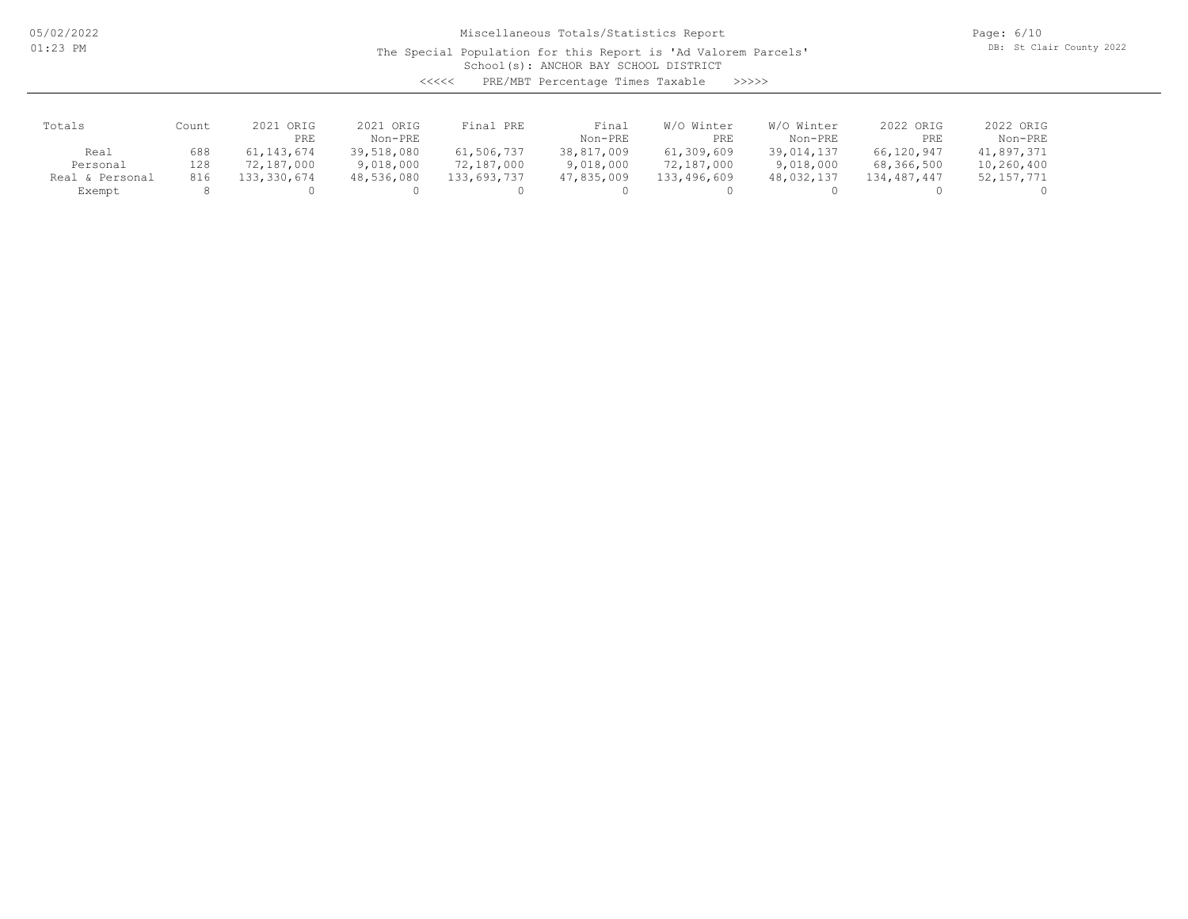The Special Population for this Report is 'Ad Valorem Parcels'

Page: 6/10 DB: St Clair County 2022

School(s): ANCHOR BAY SCHOOL DISTRICT

| くくくくく | PRE/MBT Percentage Times Taxable |  |  | >>>>> |
|-------|----------------------------------|--|--|-------|
|-------|----------------------------------|--|--|-------|

| Totals             | Count | ORIG<br>2021<br>PRE | 2021 ORIG<br>Non-PRE | Final PRE   | Final<br>Non-PRE | W/O Winter<br>PRE | W/O Winter<br>Non-PRE | 2022 ORIG<br>PRE | 2022 ORIG<br>Non-PRE |
|--------------------|-------|---------------------|----------------------|-------------|------------------|-------------------|-----------------------|------------------|----------------------|
| Real               | 688   | 61, 143, 674        | 39,518,080           | 61,506,737  | 38,817,009       | 61,309,609        | 39,014,137            | 66,120,947       | 41,897,371           |
| Personal           | 128   | 72,187,000          | 9,018,000            | 72,187,000  | 9,018,000        | 72,187,000        | 9,018,000             | 68,366,500       | 10,260,400           |
| & Personal<br>Real | 816   | 133,330,674         | 48,536,080           | 133,693,737 | 47,835,009       | 133,496,609       | 48,032,137            | 134, 487, 447    | 52, 157, 771         |
| Exempt             |       |                     |                      |             |                  |                   |                       |                  |                      |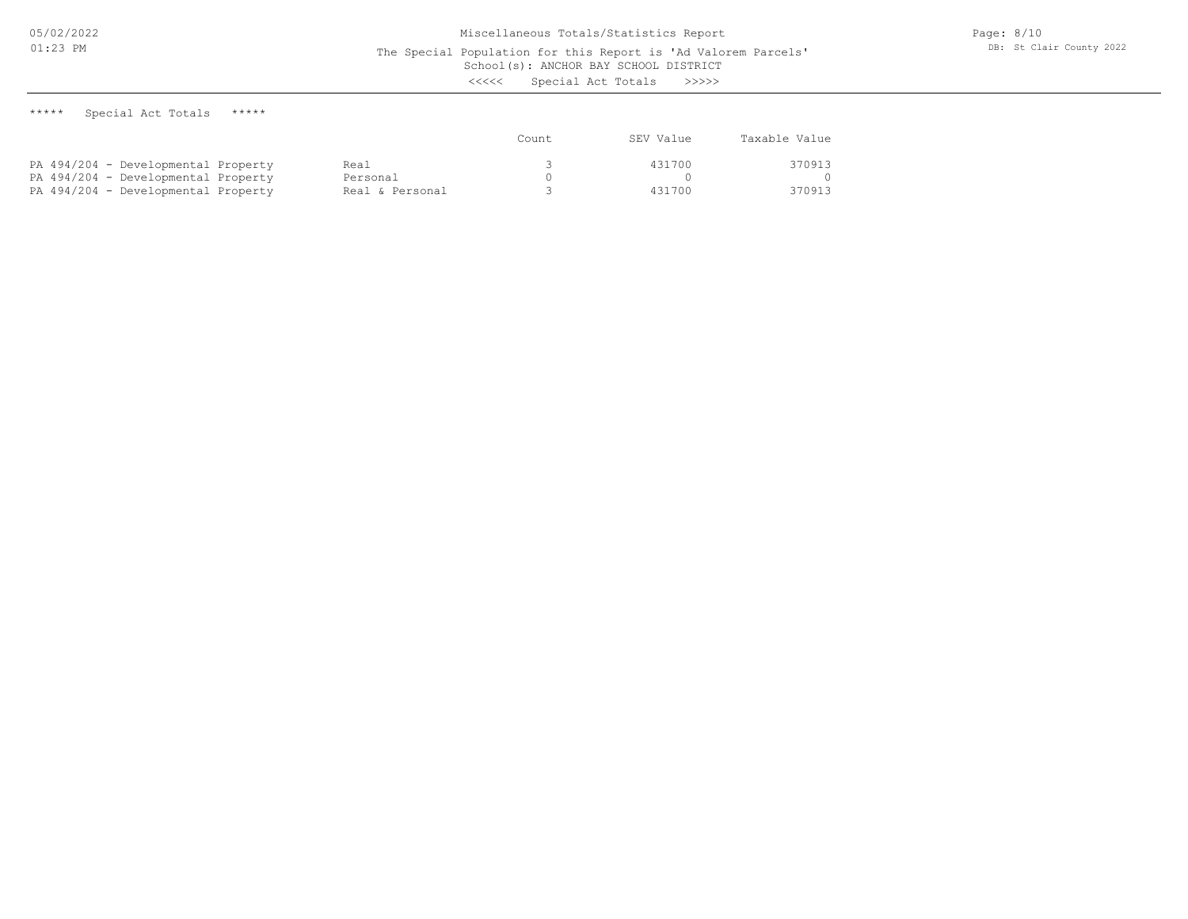The Special Population for this Report is 'Ad Valorem Parcels'

School(s): ANCHOR BAY SCHOOL DISTRICT

<<<<< Special Act Totals >>>>>

\*\*\*\*\* Special Act Totals \*\*\*\*\*

|                                     |                 | Count | SEV Value | Taxable Value |
|-------------------------------------|-----------------|-------|-----------|---------------|
| PA 494/204 - Developmental Property | Real            |       | 431700    | 370913        |
| PA 494/204 - Developmental Property | Personal        |       |           |               |
| PA 494/204 - Developmental Property | Real & Personal |       | 431700    | 370913        |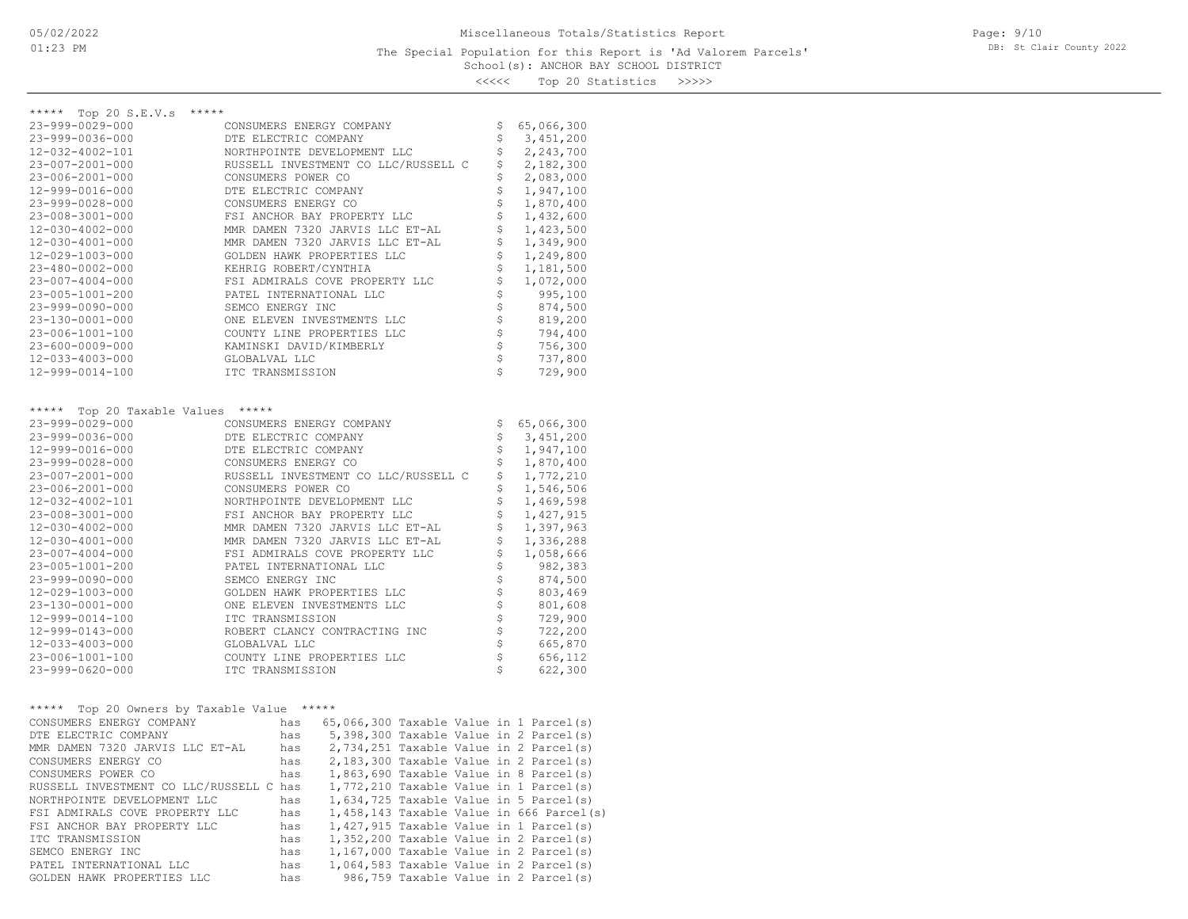<<<<< Top 20 Statistics >>>>>

| ***** Top 20 S.E.V.s *****                       |                                                                                              |                                |            |
|--------------------------------------------------|----------------------------------------------------------------------------------------------|--------------------------------|------------|
| 23-999-0029-000                                  | CONSUMERS ENERGY COMPANY                                                                     | \$                             | 65,066,300 |
| 23-999-0036-000                                  | DTE ELECTRIC COMPANY                                                                         | \$                             | 3,451,200  |
| 12-032-4002-101                                  | NORTHPOINTE DEVELOPMENT LLC                                                                  | \$                             | 2,243,700  |
| 23-007-2001-000                                  | RUSSELL INVESTMENT CO LLC/RUSSELL C                                                          | \$                             | 2,182,300  |
| 23-006-2001-000                                  | CONSUMERS POWER CO                                                                           | \$                             | 2,083,000  |
| 12-999-0016-000                                  | DTE ELECTRIC COMPANY                                                                         | \$                             | 1,947,100  |
| 23-999-0028-000                                  | CONSUMERS ENERGY CO                                                                          | \$                             | 1,870,400  |
| $23 - 008 - 3001 - 000$                          | FSI ANCHOR BAY PROPERTY LLC                                                                  | \$                             | 1,432,600  |
| 12-030-4002-000                                  | MMR DAMEN 7320 JARVIS LLC ET-AL                                                              | \$                             | 1,423,500  |
| 12-030-4001-000                                  | MMR DAMEN 7320 JARVIS LLC ET-AL                                                              | \$                             | 1,349,900  |
| 12-029-1003-000                                  | GOLDEN HAWK PROPERTIES LLC                                                                   | \$                             | 1,249,800  |
| 23-480-0002-000                                  | KEHRIG ROBERT/CYNTHIA                                                                        | \$                             | 1,181,500  |
| 23-007-4004-000                                  | FSI ADMIRALS COVE PROPERTY LLC                                                               | \$                             | 1,072,000  |
| 23-005-1001-200                                  | PATEL INTERNATIONAL LLC                                                                      | $\boldsymbol{\dot{\varsigma}}$ | 995,100    |
| 23-999-0090-000                                  | SEMCO ENERGY INC                                                                             | \$                             | 874,500    |
| 23-130-0001-000                                  | ONE ELEVEN INVESTMENTS LLC                                                                   | \$                             | 819,200    |
| 23-006-1001-100                                  | COUNTY LINE PROPERTIES LLC                                                                   | \$                             | 794,400    |
| 23-600-0009-000                                  | KAMINSKI DAVID/KIMBERLY                                                                      | \$                             | 756,300    |
| 12-033-4003-000                                  | GLOBALVAL LLC                                                                                | \$                             | 737,800    |
| 12-999-0014-100                                  | ITC TRANSMISSION                                                                             | \$                             | 729,900    |
|                                                  |                                                                                              |                                |            |
|                                                  |                                                                                              |                                |            |
| Top 20 Taxable Values *****<br>*****             |                                                                                              |                                |            |
| 23-999-0029-000                                  | CONSUMERS ENERGY COMPANY                                                                     | \$                             | 65,066,300 |
| 23-999-0036-000                                  | DTE ELECTRIC COMPANY                                                                         | \$                             | 3,451,200  |
| 12-999-0016-000                                  | DTE ELECTRIC COMPANY                                                                         | \$                             | 1,947,100  |
| 23-999-0028-000                                  | CONSUMERS ENERGY CO                                                                          | \$                             | 1,870,400  |
| 23-007-2001-000                                  | RUSSELL INVESTMENT CO LLC/RUSSELL C                                                          | \$                             | 1,772,210  |
| 23-006-2001-000                                  | CONSUMERS POWER CO                                                                           | \$                             | 1,546,506  |
| 12-032-4002-101                                  | NORTHPOINTE DEVELOPMENT LLC                                                                  | \$                             | 1,469,598  |
| 23-008-3001-000                                  | FSI ANCHOR BAY PROPERTY LLC                                                                  | \$                             | 1,427,915  |
| 12-030-4002-000                                  | MMR DAMEN 7320 JARVIS LLC ET-AL                                                              | $\boldsymbol{\dot{\varsigma}}$ | 1,397,963  |
| 12-030-4001-000                                  | MMR DAMEN 7320 JARVIS LLC ET-AL                                                              | \$                             | 1,336,288  |
| 23-007-4004-000                                  | FSI ADMIRALS COVE PROPERTY LLC                                                               | \$                             | 1,058,666  |
| 23-005-1001-200                                  | PATEL INTERNATIONAL LLC                                                                      | \$                             | 982,383    |
| 23-999-0090-000                                  | SEMCO ENERGY INC                                                                             | \$                             | 874,500    |
| 12-029-1003-000                                  | GOLDEN HAWK PROPERTIES LLC                                                                   | \$                             | 803,469    |
| 23-130-0001-000                                  | ONE ELEVEN INVESTMENTS LLC                                                                   | $\boldsymbol{\mathsf{S}}$      | 801,608    |
| 12-999-0014-100                                  | ITC TRANSMISSION                                                                             | $\hat{\varsigma}$              | 729,900    |
| 12-999-0143-000                                  | ROBERT CLANCY CONTRACTING INC                                                                | \$                             | 722,200    |
| 12-033-4003-000                                  | GLOBALVAL LLC                                                                                | \$                             | 665,870    |
| 23-006-1001-100                                  | COUNTY LINE PROPERTIES LLC                                                                   | \$                             | 656,112    |
| $23 - 999 - 0620 - 000$                          | ITC TRANSMISSION                                                                             | Ŝ.                             | 622,300    |
|                                                  |                                                                                              |                                |            |
|                                                  |                                                                                              |                                |            |
| ***** Top 20 Owners by Taxable Value *****       |                                                                                              |                                |            |
| CONSUMERS ENERGY COMPANY<br>DTE ELECTRIC COMPANY | has 65,066,300 Taxable Value in 1 Parcel(s)<br>5,398,300 Taxable Value in 2 Parcel(s)<br>has |                                |            |
| MMR DAMEN 7320 JARVIS LLC ET-AL                  | has                                                                                          |                                |            |
|                                                  | 2,734,251 Taxable Value in 2 Parcel(s)<br>2,183,300 Taxable Value in 2 Parcel(s)<br>has      |                                |            |
| CONSUMERS ENERGY CO                              |                                                                                              |                                |            |
|                                                  |                                                                                              |                                |            |
|                                                  |                                                                                              |                                |            |
|                                                  |                                                                                              |                                |            |
| FSI ANCHOR BAY PROPERTY LLC                      | 1,427,915 Taxable Value in 1 Parcel(s)<br>has                                                |                                |            |
| ITC TRANSMISSION                                 | 1,352,200 Taxable Value in 2 Parcel(s)<br>has                                                |                                |            |
|                                                  |                                                                                              |                                |            |

GOLDEN HAWK PROPERTIES LLC has 986,759 Taxable Value in 2 Parcel(s) PATEL INTERNATIONAL LLC has 1,064,583 Taxable Value in 2 Parcel(s) SEMCO ENERGY INC has 1,167,000 Taxable Value in 2 Parcel(s)